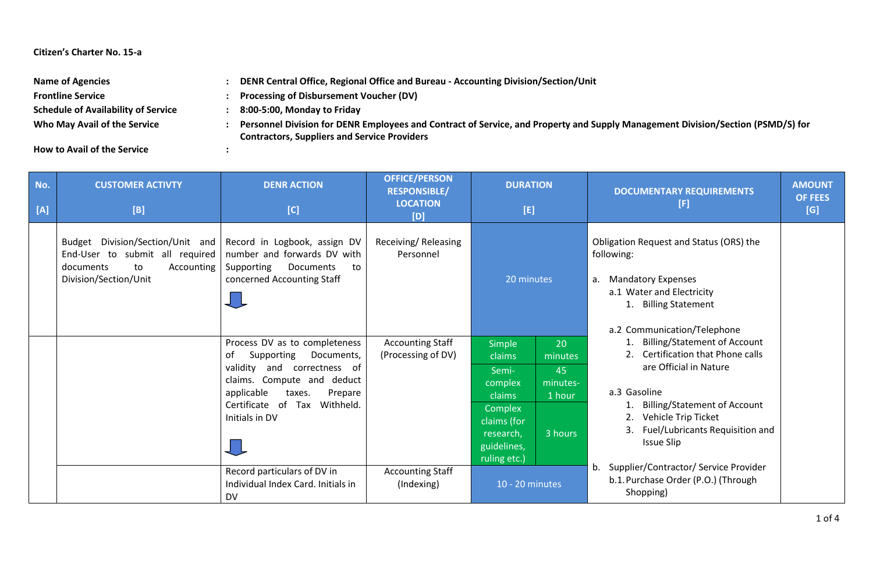## **Citizen's Charter No. 15-a**

| <b>Name of Agencies</b>                    | DENR Central Office, Regional Office and Bureau - Accounting Division/Section/Unit                                                                                                     |
|--------------------------------------------|----------------------------------------------------------------------------------------------------------------------------------------------------------------------------------------|
| <b>Frontline Service</b>                   | <b>Processing of Disbursement Voucher (DV)</b>                                                                                                                                         |
| <b>Schedule of Availability of Service</b> | 8:00-5:00, Monday to Friday                                                                                                                                                            |
| Who May Avail of the Service               | Personnel Division for DENR Employees and Contract of Service, and Property and Supply Management Division/Section (PSMD/S) for<br><b>Contractors, Suppliers and Service Providers</b> |
| .                                          |                                                                                                                                                                                        |

**How to Avail of the Service :**

| No.<br>[A] | <b>CUSTOMER ACTIVTY</b><br>[B]                                                                                                                             | <b>DENR ACTION</b><br>[C]                                                                                                                                                                                               | <b>OFFICE/PERSON</b><br><b>RESPONSIBLE/</b><br><b>LOCATION</b><br>[D] | <b>DURATION</b><br>[E]                                                                                                                                                              | <b>AMOUNT</b><br><b>DOCUMENTARY REQUIREMENTS</b><br><b>OF FEES</b><br>[F]<br>[G]                                                                                                                                                        |
|------------|------------------------------------------------------------------------------------------------------------------------------------------------------------|-------------------------------------------------------------------------------------------------------------------------------------------------------------------------------------------------------------------------|-----------------------------------------------------------------------|-------------------------------------------------------------------------------------------------------------------------------------------------------------------------------------|-----------------------------------------------------------------------------------------------------------------------------------------------------------------------------------------------------------------------------------------|
|            | Budget Division/Section/Unit and Record in Logbook, assign DV<br>End-User to submit all required<br>documents<br>to<br>Accounting<br>Division/Section/Unit | number and forwards DV with<br>Supporting<br>Documents<br>to<br>concerned Accounting Staff                                                                                                                              | Receiving/Releasing<br>Personnel                                      | 20 minutes                                                                                                                                                                          | Obligation Request and Status (ORS) the<br>following:<br><b>Mandatory Expenses</b><br>а.<br>a.1 Water and Electricity<br>1. Billing Statement<br>a.2 Communication/Telephone                                                            |
|            |                                                                                                                                                            | Process DV as to completeness<br>Supporting<br>Documents,<br>0f<br>and correctness of<br>validity<br>claims. Compute and deduct<br>applicable<br>Prepare<br>taxes.<br>Certificate<br>of Tax Withheld.<br>Initials in DV | <b>Accounting Staff</b><br>(Processing of DV)                         | 20<br><b>Simple</b><br>claims<br>minutes<br>Semi-<br>45<br>complex<br>minutes-<br>claims<br>1 hour<br>Complex<br>claims (for<br>3 hours<br>research,<br>guidelines,<br>ruling etc.) | 1. Billing/Statement of Account<br>2. Certification that Phone calls<br>are Official in Nature<br>a.3 Gasoline<br><b>Billing/Statement of Account</b><br>2. Vehicle Trip Ticket<br>Fuel/Lubricants Requisition and<br><b>Issue Slip</b> |
|            |                                                                                                                                                            | Record particulars of DV in<br>Individual Index Card, Initials in<br><b>DV</b>                                                                                                                                          | <b>Accounting Staff</b><br>(Indexing)                                 | 10 - 20 minutes                                                                                                                                                                     | Supplier/Contractor/ Service Provider<br>b.<br>b.1. Purchase Order (P.O.) (Through<br>Shopping)                                                                                                                                         |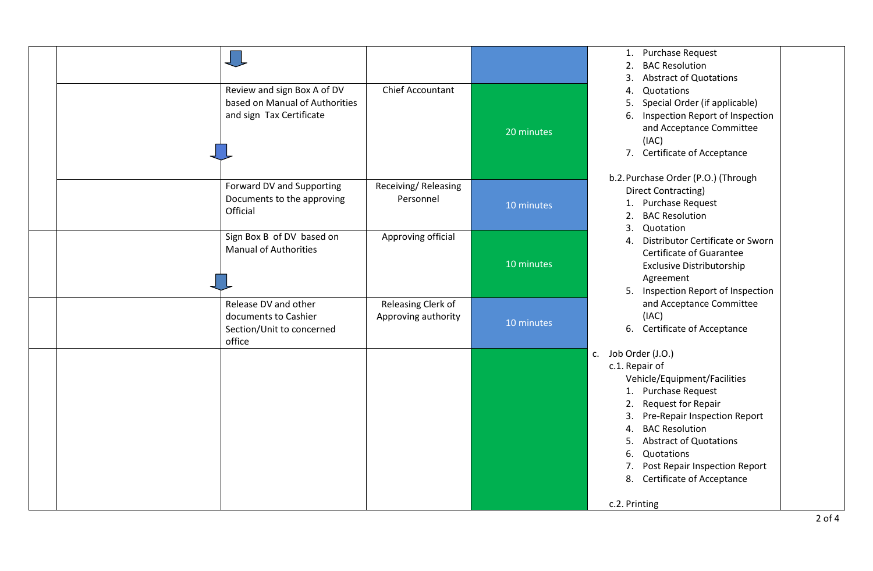|  |                                        |                                  |            | 1. F<br>2. E            |
|--|----------------------------------------|----------------------------------|------------|-------------------------|
|  |                                        |                                  |            | 3. / 4                  |
|  | Review and sign Box A of DV            | Chief Accountant                 |            | $4. \quad C$            |
|  | based on Manual of Authorities         |                                  |            | 5. S                    |
|  | and sign Tax Certificate               |                                  |            | 6.1<br>ā                |
|  |                                        |                                  | 20 minutes |                         |
|  |                                        |                                  |            | $7.$ (                  |
|  |                                        |                                  |            | b.2. Purcl              |
|  | Forward DV and Supporting              | Receiving/Releasing<br>Personnel |            | Direo                   |
|  | Documents to the approving<br>Official |                                  | 10 minutes | 1. F                    |
|  |                                        |                                  |            | 2. E<br>$3.$ $\epsilon$ |
|  | Sign Box B of DV based on              | Approving official               |            | 4. D                    |
|  | <b>Manual of Authorities</b>           |                                  |            |                         |
|  |                                        |                                  | 10 minutes |                         |
|  |                                        |                                  |            | 5.1                     |
|  | Release DV and other                   | Releasing Clerk of               |            |                         |
|  | documents to Cashier                   | Approving authority              | 10 minutes |                         |
|  | Section/Unit to concerned<br>office    |                                  |            | 6. 0                    |
|  |                                        |                                  |            | c. Job Orde             |
|  |                                        |                                  |            | c.1. Repa               |
|  |                                        |                                  |            | Vehi                    |
|  |                                        |                                  |            | 1. F<br>2. F            |
|  |                                        |                                  |            | 3. F                    |
|  |                                        |                                  |            | 4. E                    |
|  |                                        |                                  |            | 5. /                    |
|  |                                        |                                  |            | 6. 0                    |
|  |                                        |                                  |            | 7. F<br>8. 0            |
|  |                                        |                                  |            |                         |
|  |                                        |                                  |            | c.2. Print              |

Purchase Request **BAC Resolution** 

- Abstract of Quotations
- 
- **Quotations**
- Special Order (if applicable) Inspection Report of Inspection
- and Acceptance Committee (IAC)
- Certificate of Acceptance
- chase Order (P.O.) (Through ct Contracting)
	- Purchase Request
	- **BAC Resolution**
	- **Quotation**
	- 4. Distributor Certificate or Sworn Certificate of Guarantee Exclusive Distributorship Agreement
	- Inspection Report of Inspection and Acceptance Committee (IAC)
	- Certificate of Acceptance

er (J.O.)

air of icle/Equipment/Facilities Purchase Request Request for Repair Pre-Repair Inspection Report **BAC Resolution** Abstract of Quotations 6. Quotations Post Repair Inspection Report Certificate of Acceptance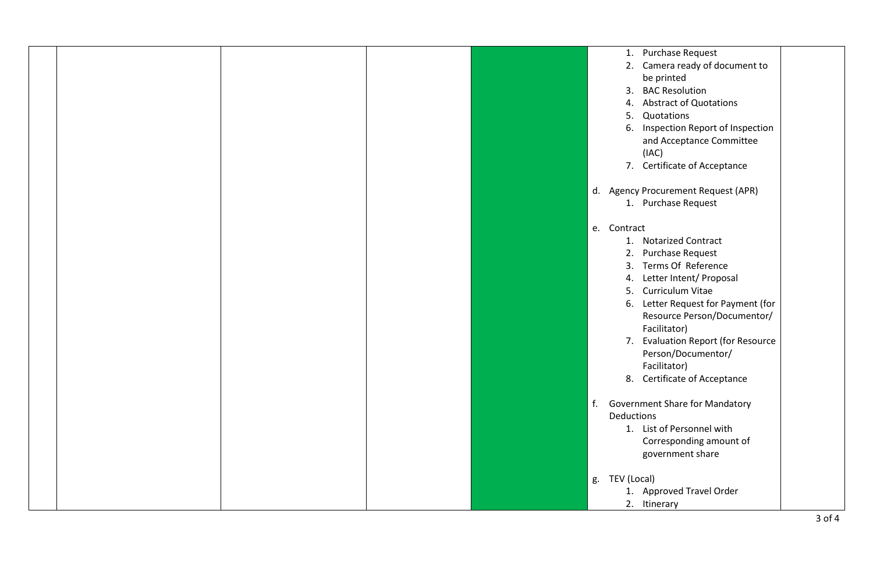|  |  | 1. Purchase Request                          |
|--|--|----------------------------------------------|
|  |  | 2. Camera ready of document to               |
|  |  | be printed                                   |
|  |  | <b>BAC Resolution</b><br>3.                  |
|  |  | 4. Abstract of Quotations                    |
|  |  | Quotations<br>5.                             |
|  |  | Inspection Report of Inspection<br>6.        |
|  |  | and Acceptance Committee                     |
|  |  | (IAC)                                        |
|  |  | 7. Certificate of Acceptance                 |
|  |  | d. Agency Procurement Request (APR)          |
|  |  | 1. Purchase Request                          |
|  |  |                                              |
|  |  | e. Contract                                  |
|  |  | 1. Notarized Contract                        |
|  |  | Purchase Request<br>2.                       |
|  |  | 3. Terms Of Reference                        |
|  |  | 4. Letter Intent/ Proposal                   |
|  |  | 5. Curriculum Vitae                          |
|  |  | 6. Letter Request for Payment (for           |
|  |  | Resource Person/Documentor/                  |
|  |  | Facilitator)                                 |
|  |  | 7. Evaluation Report (for Resource           |
|  |  | Person/Documentor/                           |
|  |  | Facilitator)<br>8. Certificate of Acceptance |
|  |  |                                              |
|  |  | f.<br><b>Government Share for Mandatory</b>  |
|  |  | Deductions                                   |
|  |  | 1. List of Personnel with                    |
|  |  | Corresponding amount of                      |
|  |  | government share                             |
|  |  |                                              |
|  |  | TEV (Local)<br>g.                            |
|  |  | 1. Approved Travel Order                     |
|  |  | 2. Itinerary                                 |